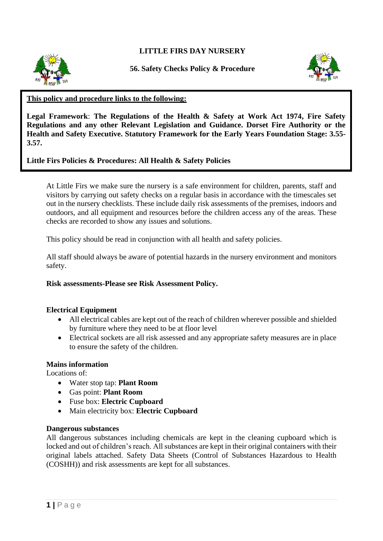**LITTLE FIRS DAY NURSERY**



**56. Safety Checks Policy & Procedure**



## **This policy and procedure links to the following:**

**Legal Framework**: **The Regulations of the Health & Safety at Work Act 1974, Fire Safety Regulations and any other Relevant Legislation and Guidance. Dorset Fire Authority or the Health and Safety Executive. Statutory Framework for the Early Years Foundation Stage: 3.55- 3.57.**

# **Little Firs Policies & Procedures: All Health & Safety Policies**

At Little Firs we make sure the nursery is a safe environment for children, parents, staff and visitors by carrying out safety checks on a regular basis in accordance with the timescales set out in the nursery checklists. These include daily risk assessments of the premises, indoors and outdoors, and all equipment and resources before the children access any of the areas. These checks are recorded to show any issues and solutions.

This policy should be read in conjunction with all health and safety policies.

All staff should always be aware of potential hazards in the nursery environment and monitors safety.

## **Risk assessments-Please see Risk Assessment Policy.**

## **Electrical Equipment**

- All electrical cables are kept out of the reach of children wherever possible and shielded by furniture where they need to be at floor level
- Electrical sockets are all risk assessed and any appropriate safety measures are in place to ensure the safety of the children.

## **Mains information**

Locations of:

- Water stop tap: **Plant Room**
- Gas point: **Plant Room**
- Fuse box: **Electric Cupboard**
- Main electricity box: **Electric Cupboard**

### **Dangerous substances**

All dangerous substances including chemicals are kept in the cleaning cupboard which is locked and out of children's reach. All substances are kept in their original containers with their original labels attached. Safety Data Sheets (Control of Substances Hazardous to Health (COSHH)) and risk assessments are kept for all substances.